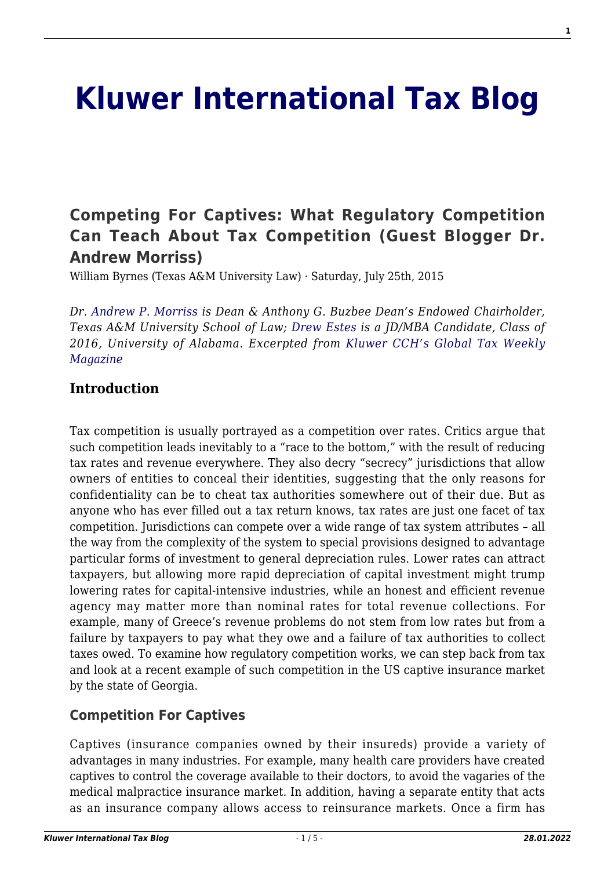# **[Kluwer International Tax Blog](http://kluwertaxblog.com/)**

# **[Competing For Captives: What Regulatory Competition](http://kluwertaxblog.com/2015/07/25/competing-for-captives-what-regulatory-competition-can-teach-about-tax-competition-guest-blogger-dr-andrew-morriss/) [Can Teach About Tax Competition \(Guest Blogger Dr.](http://kluwertaxblog.com/2015/07/25/competing-for-captives-what-regulatory-competition-can-teach-about-tax-competition-guest-blogger-dr-andrew-morriss/) [Andrew Morriss\)](http://kluwertaxblog.com/2015/07/25/competing-for-captives-what-regulatory-competition-can-teach-about-tax-competition-guest-blogger-dr-andrew-morriss/)**

William Byrnes (Texas A&M University Law) · Saturday, July 25th, 2015

*Dr. [Andrew P. Morriss](http://law.tamu.edu/faculty-staff/find-people/faculty-profiles/andrew-p-morriss) is Dean & Anthony G. Buzbee Dean's Endowed Chairholder, Texas A&M University School of Law; [Drew Estes](https://www.linkedin.com/in/drewestes) is a JD/MBA Candidate, Class of 2016, University of Alabama. Excerpted from [Kluwer CCH's Global Tax Weekly](https://www.cchgroup.com/roles/corporations/international-solutions/research/global-tax-weekly-a-closer-look) [Magazine](https://www.cchgroup.com/roles/corporations/international-solutions/research/global-tax-weekly-a-closer-look)*

#### **Introduction**

Tax competition is usually portrayed as a competition over rates. Critics argue that such competition leads inevitably to a "race to the bottom," with the result of reducing tax rates and revenue everywhere. They also decry "secrecy" jurisdictions that allow owners of entities to conceal their identities, suggesting that the only reasons for confidentiality can be to cheat tax authorities somewhere out of their due. But as anyone who has ever filled out a tax return knows, tax rates are just one facet of tax competition. Jurisdictions can compete over a wide range of tax system attributes – all the way from the complexity of the system to special provisions designed to advantage particular forms of investment to general depreciation rules. Lower rates can attract taxpayers, but allowing more rapid depreciation of capital investment might trump lowering rates for capital-intensive industries, while an honest and efficient revenue agency may matter more than nominal rates for total revenue collections. For example, many of Greece's revenue problems do not stem from low rates but from a failure by taxpayers to pay what they owe and a failure of tax authorities to collect taxes owed. To examine how regulatory competition works, we can step back from tax and look at a recent example of such competition in the US captive insurance market by the state of Georgia.

#### **Competition For Captives**

Captives (insurance companies owned by their insureds) provide a variety of advantages in many industries. For example, many health care providers have created captives to control the coverage available to their doctors, to avoid the vagaries of the medical malpractice insurance market. In addition, having a separate entity that acts as an insurance company allows access to reinsurance markets. Once a firm has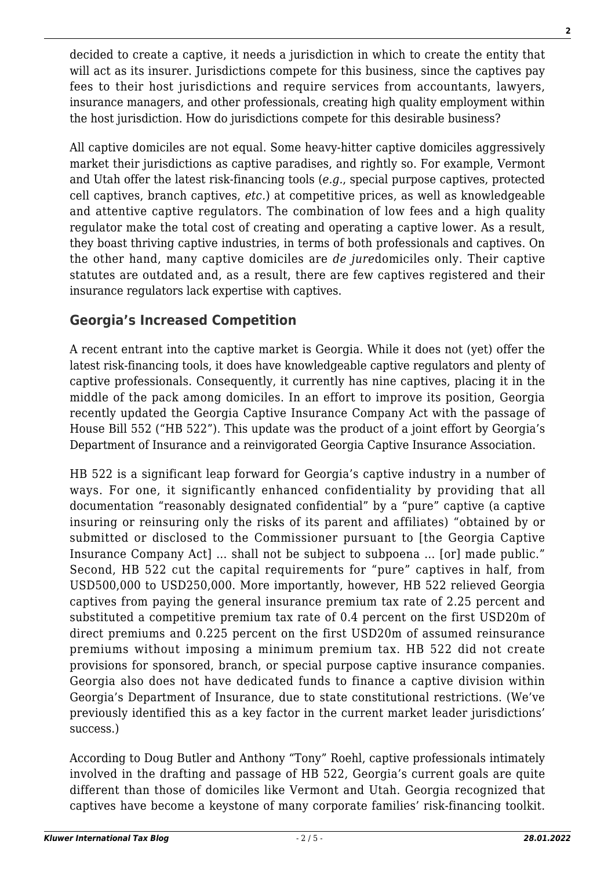decided to create a captive, it needs a jurisdiction in which to create the entity that will act as its insurer. Jurisdictions compete for this business, since the captives pay fees to their host jurisdictions and require services from accountants, lawyers, insurance managers, and other professionals, creating high quality employment within the host jurisdiction. How do jurisdictions compete for this desirable business?

All captive domiciles are not equal. Some heavy-hitter captive domiciles aggressively market their jurisdictions as captive paradises, and rightly so. For example, Vermont and Utah offer the latest risk-financing tools (*e.g.*, special purpose captives, protected cell captives, branch captives, *etc.*) at competitive prices, as well as knowledgeable and attentive captive regulators. The combination of low fees and a high quality regulator make the total cost of creating and operating a captive lower. As a result, they boast thriving captive industries, in terms of both professionals and captives. On the other hand, many captive domiciles are *de jure*domiciles only. Their captive statutes are outdated and, as a result, there are few captives registered and their insurance regulators lack expertise with captives.

### **Georgia's Increased Competition**

A recent entrant into the captive market is Georgia. While it does not (yet) offer the latest risk-financing tools, it does have knowledgeable captive regulators and plenty of captive professionals. Consequently, it currently has nine captives, placing it in the middle of the pack among domiciles. In an effort to improve its position, Georgia recently updated the Georgia Captive Insurance Company Act with the passage of House Bill 552 ("HB 522"). This update was the product of a joint effort by Georgia's Department of Insurance and a reinvigorated Georgia Captive Insurance Association.

HB 522 is a significant leap forward for Georgia's captive industry in a number of ways. For one, it significantly enhanced confidentiality by providing that all documentation "reasonably designated confidential" by a "pure" captive (a captive insuring or reinsuring only the risks of its parent and affiliates) "obtained by or submitted or disclosed to the Commissioner pursuant to [the Georgia Captive Insurance Company Act] … shall not be subject to subpoena … [or] made public." Second, HB 522 cut the capital requirements for "pure" captives in half, from USD500,000 to USD250,000. More importantly, however, HB 522 relieved Georgia captives from paying the general insurance premium tax rate of 2.25 percent and substituted a competitive premium tax rate of 0.4 percent on the first USD20m of direct premiums and 0.225 percent on the first USD20m of assumed reinsurance premiums without imposing a minimum premium tax. HB 522 did not create provisions for sponsored, branch, or special purpose captive insurance companies. Georgia also does not have dedicated funds to finance a captive division within Georgia's Department of Insurance, due to state constitutional restrictions. (We've previously identified this as a key factor in the current market leader jurisdictions' success.)

According to Doug Butler and Anthony "Tony" Roehl, captive professionals intimately involved in the drafting and passage of HB 522, Georgia's current goals are quite different than those of domiciles like Vermont and Utah. Georgia recognized that captives have become a keystone of many corporate families' risk-financing toolkit.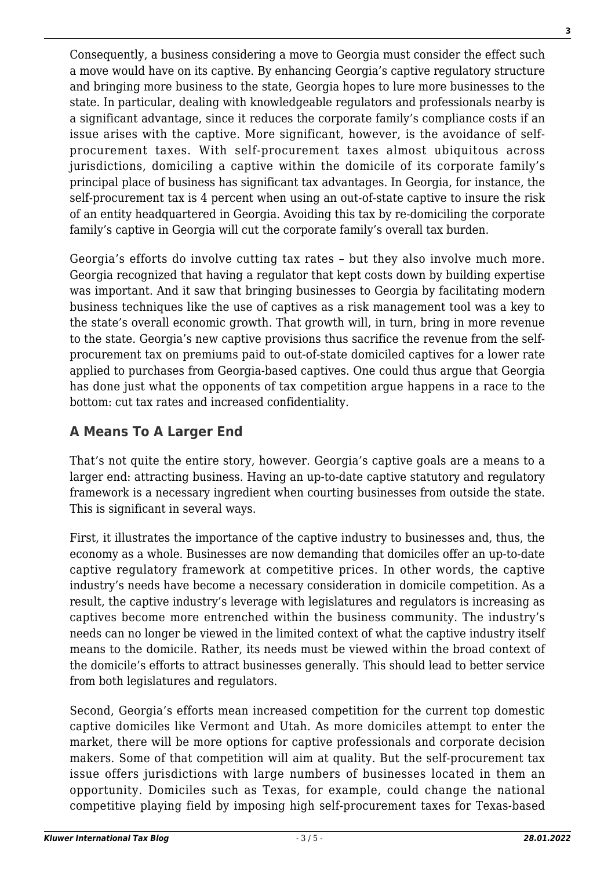Consequently, a business considering a move to Georgia must consider the effect such a move would have on its captive. By enhancing Georgia's captive regulatory structure and bringing more business to the state, Georgia hopes to lure more businesses to the state. In particular, dealing with knowledgeable regulators and professionals nearby is a significant advantage, since it reduces the corporate family's compliance costs if an issue arises with the captive. More significant, however, is the avoidance of selfprocurement taxes. With self-procurement taxes almost ubiquitous across jurisdictions, domiciling a captive within the domicile of its corporate family's principal place of business has significant tax advantages. In Georgia, for instance, the self-procurement tax is 4 percent when using an out-of-state captive to insure the risk of an entity headquartered in Georgia. Avoiding this tax by re-domiciling the corporate family's captive in Georgia will cut the corporate family's overall tax burden.

Georgia's efforts do involve cutting tax rates – but they also involve much more. Georgia recognized that having a regulator that kept costs down by building expertise was important. And it saw that bringing businesses to Georgia by facilitating modern business techniques like the use of captives as a risk management tool was a key to the state's overall economic growth. That growth will, in turn, bring in more revenue to the state. Georgia's new captive provisions thus sacrifice the revenue from the selfprocurement tax on premiums paid to out-of-state domiciled captives for a lower rate applied to purchases from Georgia-based captives. One could thus argue that Georgia has done just what the opponents of tax competition argue happens in a race to the bottom: cut tax rates and increased confidentiality.

## **A Means To A Larger End**

That's not quite the entire story, however. Georgia's captive goals are a means to a larger end: attracting business. Having an up-to-date captive statutory and regulatory framework is a necessary ingredient when courting businesses from outside the state. This is significant in several ways.

First, it illustrates the importance of the captive industry to businesses and, thus, the economy as a whole. Businesses are now demanding that domiciles offer an up-to-date captive regulatory framework at competitive prices. In other words, the captive industry's needs have become a necessary consideration in domicile competition. As a result, the captive industry's leverage with legislatures and regulators is increasing as captives become more entrenched within the business community. The industry's needs can no longer be viewed in the limited context of what the captive industry itself means to the domicile. Rather, its needs must be viewed within the broad context of the domicile's efforts to attract businesses generally. This should lead to better service from both legislatures and regulators.

Second, Georgia's efforts mean increased competition for the current top domestic captive domiciles like Vermont and Utah. As more domiciles attempt to enter the market, there will be more options for captive professionals and corporate decision makers. Some of that competition will aim at quality. But the self-procurement tax issue offers jurisdictions with large numbers of businesses located in them an opportunity. Domiciles such as Texas, for example, could change the national competitive playing field by imposing high self-procurement taxes for Texas-based **3**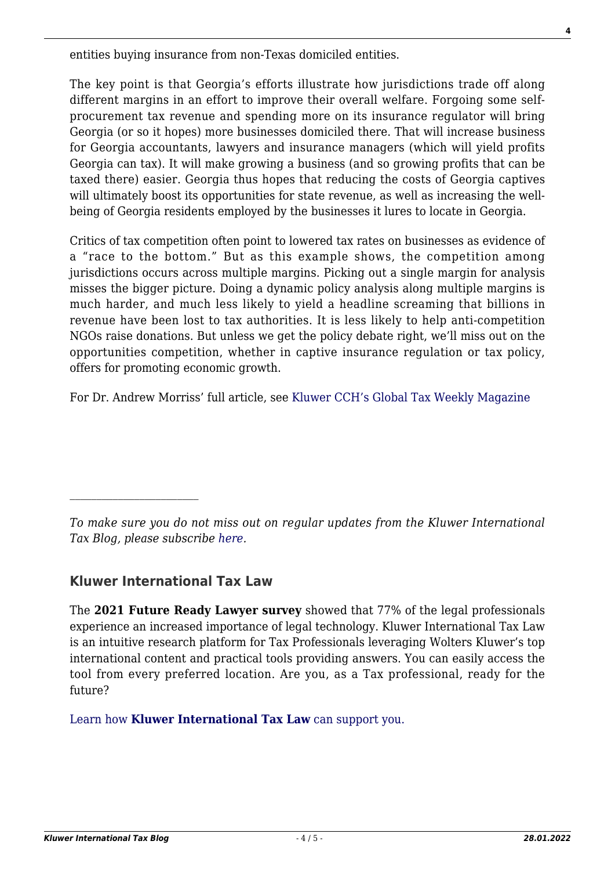entities buying insurance from non-Texas domiciled entities.

The key point is that Georgia's efforts illustrate how jurisdictions trade off along different margins in an effort to improve their overall welfare. Forgoing some selfprocurement tax revenue and spending more on its insurance regulator will bring Georgia (or so it hopes) more businesses domiciled there. That will increase business for Georgia accountants, lawyers and insurance managers (which will yield profits Georgia can tax). It will make growing a business (and so growing profits that can be taxed there) easier. Georgia thus hopes that reducing the costs of Georgia captives will ultimately boost its opportunities for state revenue, as well as increasing the wellbeing of Georgia residents employed by the businesses it lures to locate in Georgia.

Critics of tax competition often point to lowered tax rates on businesses as evidence of a "race to the bottom." But as this example shows, the competition among jurisdictions occurs across multiple margins. Picking out a single margin for analysis misses the bigger picture. Doing a dynamic policy analysis along multiple margins is much harder, and much less likely to yield a headline screaming that billions in revenue have been lost to tax authorities. It is less likely to help anti-competition NGOs raise donations. But unless we get the policy debate right, we'll miss out on the opportunities competition, whether in captive insurance regulation or tax policy, offers for promoting economic growth.

For Dr. Andrew Morriss' full article, see [Kluwer CCH's Global Tax Weekly Magazine](https://www.cchgroup.com/roles/corporations/international-solutions/research/global-tax-weekly-a-closer-look)

*To make sure you do not miss out on regular updates from the Kluwer International Tax Blog, please subscribe [here.](http://kluwertaxblog.com/newsletter/)*

#### **Kluwer International Tax Law**

The **2021 Future Ready Lawyer survey** showed that 77% of the legal professionals experience an increased importance of legal technology. Kluwer International Tax Law is an intuitive research platform for Tax Professionals leveraging Wolters Kluwer's top international content and practical tools providing answers. You can easily access the tool from every preferred location. Are you, as a Tax professional, ready for the future?

[Learn how](https://www.wolterskluwer.com/en/solutions/kluwertaxlaw?utm_source=kluwertaxblog&utm_medium=articleCTA&utm_campaign=article-banner) **[Kluwer International Tax Law](https://www.wolterskluwer.com/en/solutions/kluwertaxlaw?utm_source=kluwertaxblog&utm_medium=articleCTA&utm_campaign=article-banner)** [can support you.](https://www.wolterskluwer.com/en/solutions/kluwertaxlaw?utm_source=kluwertaxblog&utm_medium=articleCTA&utm_campaign=article-banner)